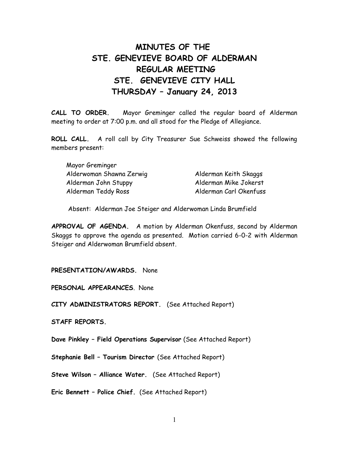# **MINUTES OF THE STE. GENEVIEVE BOARD OF ALDERMAN REGULAR MEETING STE. GENEVIEVE CITY HALL THURSDAY – January 24, 2013**

**CALL TO ORDER.** Mayor Greminger called the regular board of Alderman meeting to order at 7:00 p.m. and all stood for the Pledge of Allegiance.

**ROLL CALL.** A roll call by City Treasurer Sue Schweiss showed the following members present:

| Mayor Greminger          |                        |
|--------------------------|------------------------|
| Alderwoman Shawna Zerwig | Alderman Keith Skaggs  |
| Alderman John Stuppy     | Alderman Mike Jokerst  |
| Alderman Teddy Ross      | Alderman Carl Okenfuss |

Absent: Alderman Joe Steiger and Alderwoman Linda Brumfield

**APPROVAL OF AGENDA.** A motion by Alderman Okenfuss, second by Alderman Skaggs to approve the agenda as presented. Motion carried 6-0-2 with Alderman Steiger and Alderwoman Brumfield absent.

### **PRESENTATION/AWARDS.** None

**PERSONAL APPEARANCES**. None

**CITY ADMINISTRATORS REPORT.** (See Attached Report)

**STAFF REPORTS.** 

**Dave Pinkley – Field Operations Supervisor** (See Attached Report)

**Stephanie Bell – Tourism Director** (See Attached Report)

**Steve Wilson – Alliance Water.** (See Attached Report)

**Eric Bennett – Police Chief.** (See Attached Report)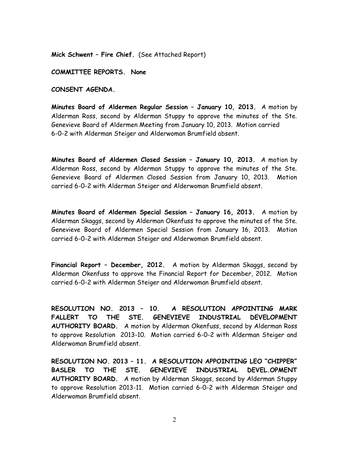**Mick Schwent – Fire Chief.** (See Attached Report)

**COMMITTEE REPORTS. None**

**CONSENT AGENDA.** 

**Minutes Board of Aldermen Regular Session – January 10, 2013.** A motion by Alderman Ross, second by Alderman Stuppy to approve the minutes of the Ste. Genevieve Board of Aldermen Meeting from January 10, 2013. Motion carried 6-0-2 with Alderman Steiger and Alderwoman Brumfield absent.

**Minutes Board of Aldermen Closed Session – January 10, 2013.** A motion by Alderman Ross, second by Alderman Stuppy to approve the minutes of the Ste. Genevieve Board of Aldermen Closed Session from January 10, 2013. Motion carried 6-0-2 with Alderman Steiger and Alderwoman Brumfield absent.

**Minutes Board of Aldermen Special Session – January 16, 2013.** A motion by Alderman Skaggs, second by Alderman Okenfuss to approve the minutes of the Ste. Genevieve Board of Aldermen Special Session from January 16, 2013. Motion carried 6-0-2 with Alderman Steiger and Alderwoman Brumfield absent.

**Financial Report – December, 2012.** A motion by Alderman Skaggs, second by Alderman Okenfuss to approve the Financial Report for December, 2012. Motion carried 6-0-2 with Alderman Steiger and Alderwoman Brumfield absent.

**RESOLUTION NO. 2013 – 10. A RESOLUTION APPOINTING MARK FALLERT TO THE STE. GENEVIEVE INDUSTRIAL DEVELOPMENT AUTHORITY BOARD.** A motion by Alderman Okenfuss, second by Alderman Ross to approve Resolution 2013-10. Motion carried 6-0-2 with Alderman Steiger and Alderwoman Brumfield absent.

**RESOLUTION NO. 2013 – 11. A RESOLUTION APPOINTING LEO "CHIPPER" BASLER TO THE STE. GENEVIEVE INDUSTRIAL DEVEL.OPMENT AUTHORITY BOARD.** A motion by Alderman Skaggs, second by Alderman Stuppy to approve Resolution 2013-11. Motion carried 6-0-2 with Alderman Steiger and Alderwoman Brumfield absent.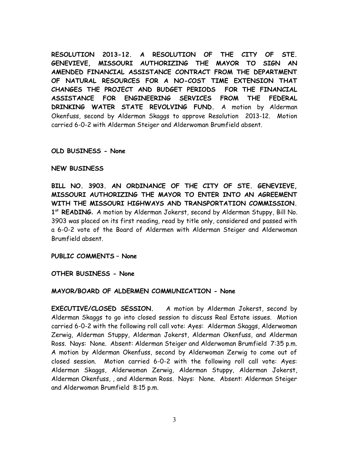**RESOLUTION 2013-12. A RESOLUTION OF THE CITY OF STE. GENEVIEVE, MISSOURI AUTHORIZING THE MAYOR TO SIGN AN AMENDED FINANCIAL ASSISTANCE CONTRACT FROM THE DEPARTMENT OF NATURAL RESOURCES FOR A NO-COST TIME EXTENSION THAT CHANGES THE PROJECT AND BUDGET PERIODS FOR THE FINANCIAL ASSISTANCE FOR ENGINEERING SERVICES FROM THE FEDERAL DRINKING WATER STATE REVOLVING FUND.** A motion by Alderman Okenfuss, second by Alderman Skaggs to approve Resolution 2013-12. Motion carried 6-0-2 with Alderman Steiger and Alderwoman Brumfield absent.

# **OLD BUSINESS - None**

# **NEW BUSINESS**

**BILL NO. 3903. AN ORDINANCE OF THE CITY OF STE. GENEVIEVE, MISSOURI AUTHORIZING THE MAYOR TO ENTER INTO AN AGREEMENT WITH THE MISSOURI HIGHWAYS AND TRANSPORTATION COMMISSION.** 1<sup>st</sup> READING. A motion by Alderman Jokerst, second by Alderman Stuppy, Bill No. 3903 was placed on its first reading, read by title only, considered and passed with a 6-0-2 vote of the Board of Aldermen with Alderman Steiger and Alderwoman Brumfield absent.

**PUBLIC COMMENTS – None**

**OTHER BUSINESS - None** 

### **MAYOR/BOARD OF ALDERMEN COMMUNICATION - None**

**EXECUTIVE/CLOSED SESSION.** A motion by Alderman Jokerst, second by Alderman Skaggs to go into closed session to discuss Real Estate issues. Motion carried 6-0-2 with the following roll call vote: Ayes: Alderman Skaggs, Alderwoman Zerwig, Alderman Stuppy, Alderman Jokerst, Alderman Okenfuss, and Alderman Ross. Nays: None. Absent: Alderman Steiger and Alderwoman Brumfield 7:35 p.m. A motion by Alderman Okenfuss, second by Alderwoman Zerwig to come out of closed session. Motion carried 6-0-2 with the following roll call vote: Ayes: Alderman Skaggs, Alderwoman Zerwig, Alderman Stuppy, Alderman Jokerst, Alderman Okenfuss, , and Alderman Ross. Nays: None. Absent: Alderman Steiger and Alderwoman Brumfield 8:15 p.m.